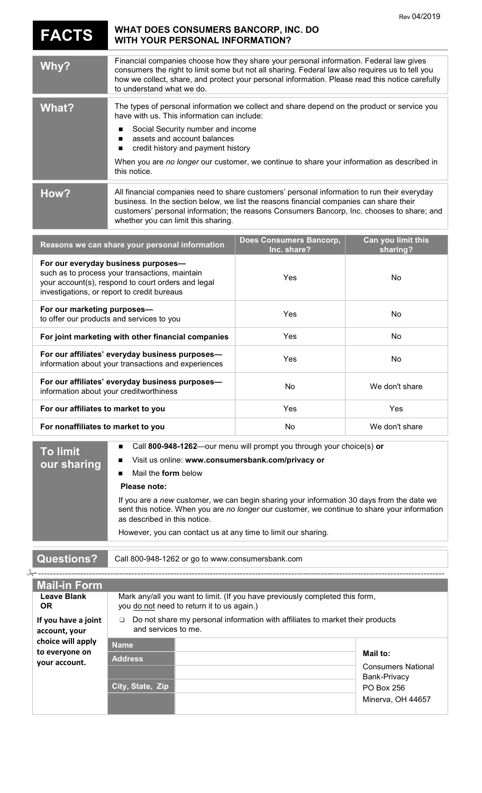|                                                                                                                                                                                                                                                                                                                                                                                                                                                                                                              | WHAT DOES CONSUMERS BANCORP, INC. DO                                                                                                                                                                                                                                                                                                                                         |                                        | Rev 04/2019                    |  |
|--------------------------------------------------------------------------------------------------------------------------------------------------------------------------------------------------------------------------------------------------------------------------------------------------------------------------------------------------------------------------------------------------------------------------------------------------------------------------------------------------------------|------------------------------------------------------------------------------------------------------------------------------------------------------------------------------------------------------------------------------------------------------------------------------------------------------------------------------------------------------------------------------|----------------------------------------|--------------------------------|--|
| <b>FACTS</b>                                                                                                                                                                                                                                                                                                                                                                                                                                                                                                 | <b>WITH YOUR PERSONAL INFORMATION?</b>                                                                                                                                                                                                                                                                                                                                       |                                        |                                |  |
| Why?                                                                                                                                                                                                                                                                                                                                                                                                                                                                                                         | Financial companies choose how they share your personal information. Federal law gives<br>consumers the right to limit some but not all sharing. Federal law also requires us to tell you<br>how we collect, share, and protect your personal information. Please read this notice carefully<br>to understand what we do.                                                    |                                        |                                |  |
| <b>What?</b>                                                                                                                                                                                                                                                                                                                                                                                                                                                                                                 | The types of personal information we collect and share depend on the product or service you<br>have with us. This information can include:<br>Social Security number and income<br>assets and account balances<br>п<br>credit history and payment history<br>п<br>When you are no longer our customer, we continue to share your information as described in<br>this notice. |                                        |                                |  |
| How?                                                                                                                                                                                                                                                                                                                                                                                                                                                                                                         | All financial companies need to share customers' personal information to run their everyday<br>business. In the section below, we list the reasons financial companies can share their<br>customers' personal information; the reasons Consumers Bancorp, Inc. chooses to share; and<br>whether you can limit this sharing.                                                  |                                        |                                |  |
|                                                                                                                                                                                                                                                                                                                                                                                                                                                                                                              | Reasons we can share your personal information                                                                                                                                                                                                                                                                                                                               | Does Consumers Bancorp,<br>Inc. share? | Can you limit this<br>sharing? |  |
| For our everyday business purposes-<br>such as to process your transactions, maintain<br>your account(s), respond to court orders and legal<br>investigations, or report to credit bureaus                                                                                                                                                                                                                                                                                                                   |                                                                                                                                                                                                                                                                                                                                                                              | Yes                                    | <b>No</b>                      |  |
| For our marketing purposes-<br>to offer our products and services to you                                                                                                                                                                                                                                                                                                                                                                                                                                     |                                                                                                                                                                                                                                                                                                                                                                              | Yes                                    | No                             |  |
| For joint marketing with other financial companies                                                                                                                                                                                                                                                                                                                                                                                                                                                           |                                                                                                                                                                                                                                                                                                                                                                              | Yes                                    | No                             |  |
| For our affiliates' everyday business purposes-<br>information about your transactions and experiences                                                                                                                                                                                                                                                                                                                                                                                                       |                                                                                                                                                                                                                                                                                                                                                                              | Yes                                    | <b>No</b>                      |  |
| For our affiliates' everyday business purposes-<br>information about your creditworthiness                                                                                                                                                                                                                                                                                                                                                                                                                   |                                                                                                                                                                                                                                                                                                                                                                              | No                                     | We don't share                 |  |
| For our affiliates to market to you                                                                                                                                                                                                                                                                                                                                                                                                                                                                          |                                                                                                                                                                                                                                                                                                                                                                              | Yes                                    | Yes                            |  |
| For nonaffiliates to market to you                                                                                                                                                                                                                                                                                                                                                                                                                                                                           |                                                                                                                                                                                                                                                                                                                                                                              | No                                     | We don't share                 |  |
| Call 800-948-1262-our menu will prompt you through your choice(s) or<br>■<br><b>To limit</b><br>Visit us online: www.consumersbank.com/privacy or<br>our sharing<br>Mail the <b>form</b> below<br>Please note:<br>If you are a new customer, we can begin sharing your information 30 days from the date we<br>sent this notice. When you are no longer our customer, we continue to share your information<br>as described in this notice.<br>However, you can contact us at any time to limit our sharing. |                                                                                                                                                                                                                                                                                                                                                                              |                                        |                                |  |
| <b>Questions?</b><br>Call 800-948-1262 or go to www.consumersbank.com                                                                                                                                                                                                                                                                                                                                                                                                                                        |                                                                                                                                                                                                                                                                                                                                                                              |                                        |                                |  |
| <b>Mail-in Form</b>                                                                                                                                                                                                                                                                                                                                                                                                                                                                                          |                                                                                                                                                                                                                                                                                                                                                                              |                                        |                                |  |
| <b>Leave Blank</b><br><b>OR</b>                                                                                                                                                                                                                                                                                                                                                                                                                                                                              | Mark any/all you want to limit. (If you have previously completed this form,<br>you do not need to return it to us again.)                                                                                                                                                                                                                                                   |                                        |                                |  |
| If you have a joint<br>account, your                                                                                                                                                                                                                                                                                                                                                                                                                                                                         | Do not share my personal information with affiliates to market their products<br>❏<br>and services to me.                                                                                                                                                                                                                                                                    |                                        |                                |  |
| choice will apply                                                                                                                                                                                                                                                                                                                                                                                                                                                                                            | Name                                                                                                                                                                                                                                                                                                                                                                         |                                        |                                |  |

| choice will apply<br>to everyone on<br>your account. | <b>Name</b>      |                                                        |
|------------------------------------------------------|------------------|--------------------------------------------------------|
|                                                      | <b>Address</b>   | Mail to:<br><b>Consumers National</b>                  |
|                                                      | City, State, Zip | Bank-Privacy<br><b>PO Box 256</b><br>Minerva, OH 44657 |